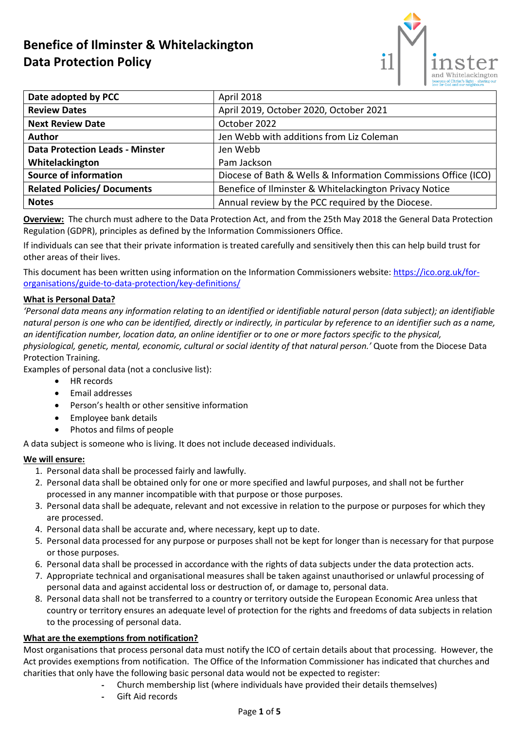# **Benefice of Ilminster & Whitelackington Data Protection Policy**



| Date adopted by PCC                    | April 2018                                                     |
|----------------------------------------|----------------------------------------------------------------|
| <b>Review Dates</b>                    | April 2019, October 2020, October 2021                         |
| <b>Next Review Date</b>                | October 2022                                                   |
| <b>Author</b>                          | Jen Webb with additions from Liz Coleman                       |
| <b>Data Protection Leads - Minster</b> | Jen Webb                                                       |
| Whitelackington                        | Pam Jackson                                                    |
| <b>Source of information</b>           | Diocese of Bath & Wells & Information Commissions Office (ICO) |
| <b>Related Policies/ Documents</b>     | Benefice of Ilminster & Whitelackington Privacy Notice         |
| <b>Notes</b>                           | Annual review by the PCC required by the Diocese.              |

**Overview:** The church must adhere to the Data Protection Act, and from the 25th May 2018 the General Data Protection Regulation (GDPR), principles as defined by the Information Commissioners Office.

If individuals can see that their private information is treated carefully and sensitively then this can help build trust for other areas of their lives.

This document has been written using information on the Information Commissioners website: [https://ico.org.uk/for](https://ico.org.uk/for-organisations/guide-to-data-protection/key-definitions/)[organisations/guide-to-data-protection/key-definitions/](https://ico.org.uk/for-organisations/guide-to-data-protection/key-definitions/)

## **What is Personal Data?**

*'Personal data means any information relating to an identified or identifiable natural person (data subject); an identifiable natural person is one who can be identified, directly or indirectly, in particular by reference to an identifier such as a name, an identification number, location data, an online identifier or to one or more factors specific to the physical, physiological, genetic, mental, economic, cultural or social identity of that natural person.'* Quote from the Diocese Data Protection Training.

Examples of personal data (not a conclusive list):

- HR records
- Email addresses
- Person's health or other sensitive information
- Employee bank details
- Photos and films of people

A data subject is someone who is living. It does not include deceased individuals.

## **We will ensure:**

- 1. Personal data shall be processed fairly and lawfully.
- 2. Personal data shall be obtained only for one or more specified and lawful purposes, and shall not be further processed in any manner incompatible with that purpose or those purposes.
- 3. Personal data shall be adequate, relevant and not excessive in relation to the purpose or purposes for which they are processed.
- 4. Personal data shall be accurate and, where necessary, kept up to date.
- 5. Personal data processed for any purpose or purposes shall not be kept for longer than is necessary for that purpose or those purposes.
- 6. Personal data shall be processed in accordance with the rights of data subjects under the data protection acts.
- 7. Appropriate technical and organisational measures shall be taken against unauthorised or unlawful processing of personal data and against accidental loss or destruction of, or damage to, personal data.
- 8. Personal data shall not be transferred to a country or territory outside the European Economic Area unless that country or territory ensures an adequate level of protection for the rights and freedoms of data subjects in relation to the processing of personal data.

## **What are the exemptions from notification?**

Most organisations that process personal data must notify the ICO of certain details about that processing. However, the Act provides exemptions from notification. The Office of the Information Commissioner has indicated that churches and charities that only have the following basic personal data would not be expected to register:

- Church membership list (where individuals have provided their details themselves)
- Gift Aid records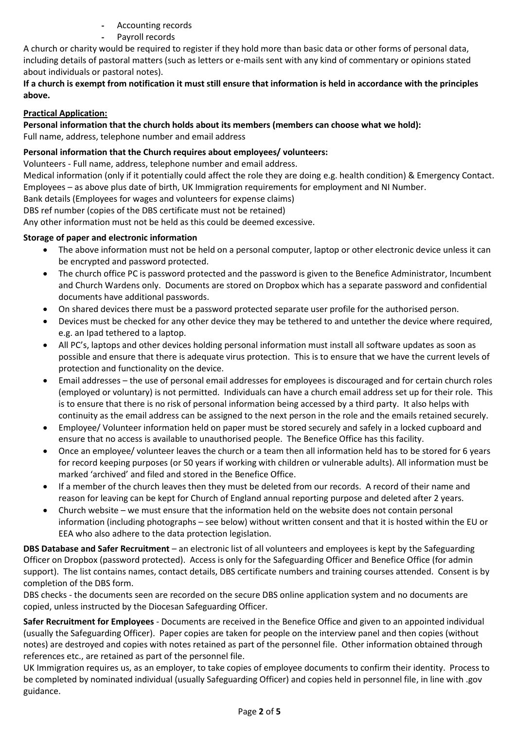- Accounting records
- Payroll records

A church or charity would be required to register if they hold more than basic data or other forms of personal data, including details of pastoral matters (such as letters or e-mails sent with any kind of commentary or opinions stated about individuals or pastoral notes).

## **If a church is exempt from notification it must still ensure that information is held in accordance with the principles above.**

## **Practical Application:**

**Personal information that the church holds about its members (members can choose what we hold):**

Full name, address, telephone number and email address

## **Personal information that the Church requires about employees/ volunteers:**

Volunteers - Full name, address, telephone number and email address.

Medical information (only if it potentially could affect the role they are doing e.g. health condition) & Emergency Contact. Employees – as above plus date of birth, UK Immigration requirements for employment and NI Number.

Bank details (Employees for wages and volunteers for expense claims)

DBS ref number (copies of the DBS certificate must not be retained)

Any other information must not be held as this could be deemed excessive.

## **Storage of paper and electronic information**

- The above information must not be held on a personal computer, laptop or other electronic device unless it can be encrypted and password protected.
- The church office PC is password protected and the password is given to the Benefice Administrator, Incumbent and Church Wardens only. Documents are stored on Dropbox which has a separate password and confidential documents have additional passwords.
- On shared devices there must be a password protected separate user profile for the authorised person.
- Devices must be checked for any other device they may be tethered to and untether the device where required, e.g. an Ipad tethered to a laptop.
- All PC's, laptops and other devices holding personal information must install all software updates as soon as possible and ensure that there is adequate virus protection. This is to ensure that we have the current levels of protection and functionality on the device.
- Email addresses the use of personal email addresses for employees is discouraged and for certain church roles (employed or voluntary) is not permitted. Individuals can have a church email address set up for their role. This is to ensure that there is no risk of personal information being accessed by a third party. It also helps with continuity as the email address can be assigned to the next person in the role and the emails retained securely.
- Employee/ Volunteer information held on paper must be stored securely and safely in a locked cupboard and ensure that no access is available to unauthorised people. The Benefice Office has this facility.
- Once an employee/ volunteer leaves the church or a team then all information held has to be stored for 6 years for record keeping purposes (or 50 years if working with children or vulnerable adults). All information must be marked 'archived' and filed and stored in the Benefice Office.
- If a member of the church leaves then they must be deleted from our records. A record of their name and reason for leaving can be kept for Church of England annual reporting purpose and deleted after 2 years.
- Church website we must ensure that the information held on the website does not contain personal information (including photographs – see below) without written consent and that it is hosted within the EU or EEA who also adhere to the data protection legislation.

**DBS Database and Safer Recruitment** – an electronic list of all volunteers and employees is kept by the Safeguarding Officer on Dropbox (password protected). Access is only for the Safeguarding Officer and Benefice Office (for admin support). The list contains names, contact details, DBS certificate numbers and training courses attended. Consent is by completion of the DBS form.

DBS checks - the documents seen are recorded on the secure DBS online application system and no documents are copied, unless instructed by the Diocesan Safeguarding Officer.

**Safer Recruitment for Employees** - Documents are received in the Benefice Office and given to an appointed individual (usually the Safeguarding Officer). Paper copies are taken for people on the interview panel and then copies (without notes) are destroyed and copies with notes retained as part of the personnel file. Other information obtained through references etc., are retained as part of the personnel file.

UK Immigration requires us, as an employer, to take copies of employee documents to confirm their identity. Process to be completed by nominated individual (usually Safeguarding Officer) and copies held in personnel file, in line with .gov guidance.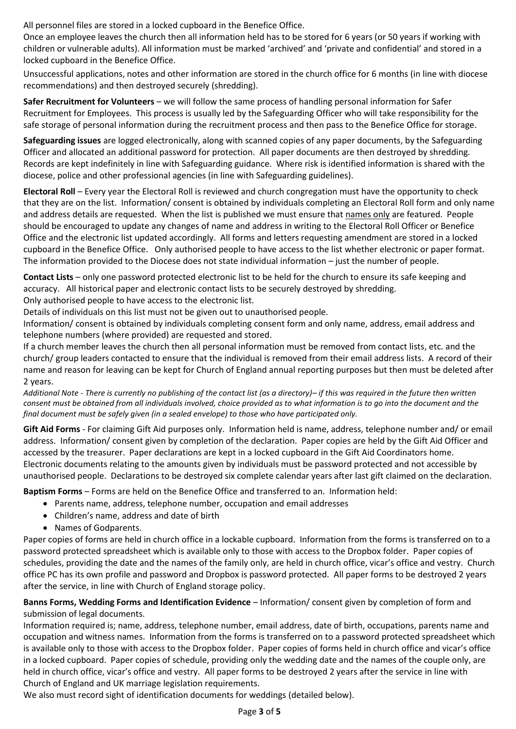All personnel files are stored in a locked cupboard in the Benefice Office.

Once an employee leaves the church then all information held has to be stored for 6 years (or 50 years if working with children or vulnerable adults). All information must be marked 'archived' and 'private and confidential' and stored in a locked cupboard in the Benefice Office.

Unsuccessful applications, notes and other information are stored in the church office for 6 months (in line with diocese recommendations) and then destroyed securely (shredding).

**Safer Recruitment for Volunteers** – we will follow the same process of handling personal information for Safer Recruitment for Employees. This process is usually led by the Safeguarding Officer who will take responsibility for the safe storage of personal information during the recruitment process and then pass to the Benefice Office for storage.

**Safeguarding issues** are logged electronically, along with scanned copies of any paper documents, by the Safeguarding Officer and allocated an additional password for protection. All paper documents are then destroyed by shredding. Records are kept indefinitely in line with Safeguarding guidance. Where risk is identified information is shared with the diocese, police and other professional agencies (in line with Safeguarding guidelines).

**Electoral Roll** – Every year the Electoral Roll is reviewed and church congregation must have the opportunity to check that they are on the list. Information/ consent is obtained by individuals completing an Electoral Roll form and only name and address details are requested. When the list is published we must ensure that names only are featured. People should be encouraged to update any changes of name and address in writing to the Electoral Roll Officer or Benefice Office and the electronic list updated accordingly. All forms and letters requesting amendment are stored in a locked cupboard in the Benefice Office. Only authorised people to have access to the list whether electronic or paper format. The information provided to the Diocese does not state individual information – just the number of people.

**Contact Lists** – only one password protected electronic list to be held for the church to ensure its safe keeping and accuracy. All historical paper and electronic contact lists to be securely destroyed by shredding.

Only authorised people to have access to the electronic list.

Details of individuals on this list must not be given out to unauthorised people.

Information/ consent is obtained by individuals completing consent form and only name, address, email address and telephone numbers (where provided) are requested and stored.

If a church member leaves the church then all personal information must be removed from contact lists, etc. and the church/ group leaders contacted to ensure that the individual is removed from their email address lists. A record of their name and reason for leaving can be kept for Church of England annual reporting purposes but then must be deleted after 2 years.

*Additional Note - There is currently no publishing of the contact list (as a directory)– if this was required in the future then written consent must be obtained from all individuals involved, choice provided as to what information is to go into the document and the final document must be safely given (in a sealed envelope) to those who have participated only.* 

**Gift Aid Forms** - For claiming Gift Aid purposes only. Information held is name, address, telephone number and/ or email address. Information/ consent given by completion of the declaration. Paper copies are held by the Gift Aid Officer and accessed by the treasurer. Paper declarations are kept in a locked cupboard in the Gift Aid Coordinators home. Electronic documents relating to the amounts given by individuals must be password protected and not accessible by unauthorised people. Declarations to be destroyed six complete calendar years after last gift claimed on the declaration.

**Baptism Forms** – Forms are held on the Benefice Office and transferred to an. Information held:

- Parents name, address, telephone number, occupation and email addresses
- Children's name, address and date of birth
- Names of Godparents.

Paper copies of forms are held in church office in a lockable cupboard. Information from the forms is transferred on to a password protected spreadsheet which is available only to those with access to the Dropbox folder. Paper copies of schedules, providing the date and the names of the family only, are held in church office, vicar's office and vestry. Church office PC has its own profile and password and Dropbox is password protected. All paper forms to be destroyed 2 years after the service, in line with Church of England storage policy.

**Banns Forms, Wedding Forms and Identification Evidence** – Information/ consent given by completion of form and submission of legal documents.

Information required is; name, address, telephone number, email address, date of birth, occupations, parents name and occupation and witness names. Information from the forms is transferred on to a password protected spreadsheet which is available only to those with access to the Dropbox folder. Paper copies of forms held in church office and vicar's office in a locked cupboard. Paper copies of schedule, providing only the wedding date and the names of the couple only, are held in church office, vicar's office and vestry. All paper forms to be destroyed 2 years after the service in line with Church of England and UK marriage legislation requirements.

We also must record sight of identification documents for weddings (detailed below).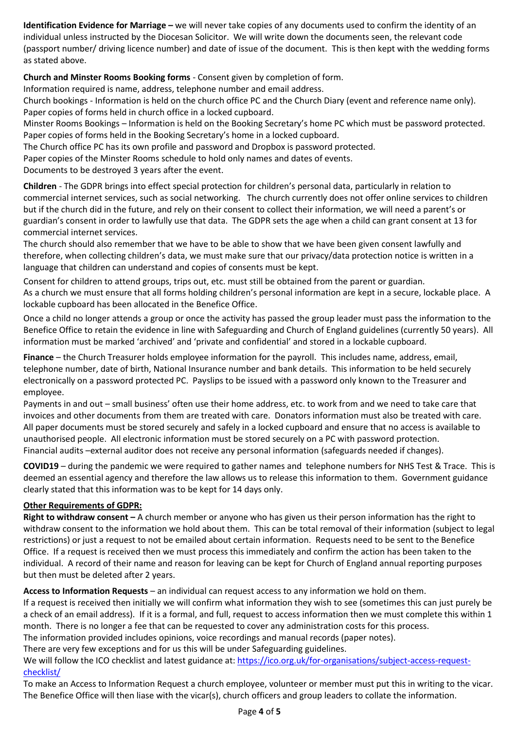**Identification Evidence for Marriage –** we will never take copies of any documents used to confirm the identity of an individual unless instructed by the Diocesan Solicitor. We will write down the documents seen, the relevant code (passport number/ driving licence number) and date of issue of the document. This is then kept with the wedding forms as stated above.

**Church and Minster Rooms Booking forms** - Consent given by completion of form.

Information required is name, address, telephone number and email address.

Church bookings - Information is held on the church office PC and the Church Diary (event and reference name only). Paper copies of forms held in church office in a locked cupboard.

Minster Rooms Bookings – Information is held on the Booking Secretary's home PC which must be password protected. Paper copies of forms held in the Booking Secretary's home in a locked cupboard.

The Church office PC has its own profile and password and Dropbox is password protected.

Paper copies of the Minster Rooms schedule to hold only names and dates of events.

Documents to be destroyed 3 years after the event.

**Children** - The GDPR brings into effect special protection for children's personal data, particularly in relation to commercial internet services, such as social networking. The church currently does not offer online services to children but if the church did in the future, and rely on their consent to collect their information, we will need a parent's or guardian's consent in order to lawfully use that data. The GDPR sets the age when a child can grant consent at 13 for commercial internet services.

The church should also remember that we have to be able to show that we have been given consent lawfully and therefore, when collecting children's data, we must make sure that our privacy/data protection notice is written in a language that children can understand and copies of consents must be kept.

Consent for children to attend groups, trips out, etc. must still be obtained from the parent or guardian. As a church we must ensure that all forms holding children's personal information are kept in a secure, lockable place. A lockable cupboard has been allocated in the Benefice Office.

Once a child no longer attends a group or once the activity has passed the group leader must pass the information to the Benefice Office to retain the evidence in line with Safeguarding and Church of England guidelines (currently 50 years). All information must be marked 'archived' and 'private and confidential' and stored in a lockable cupboard.

**Finance** – the Church Treasurer holds employee information for the payroll. This includes name, address, email, telephone number, date of birth, National Insurance number and bank details. This information to be held securely electronically on a password protected PC. Payslips to be issued with a password only known to the Treasurer and employee.

Payments in and out – small business' often use their home address, etc. to work from and we need to take care that invoices and other documents from them are treated with care. Donators information must also be treated with care. All paper documents must be stored securely and safely in a locked cupboard and ensure that no access is available to unauthorised people. All electronic information must be stored securely on a PC with password protection. Financial audits –external auditor does not receive any personal information (safeguards needed if changes).

**COVID19** – during the pandemic we were required to gather names and telephone numbers for NHS Test & Trace. This is deemed an essential agency and therefore the law allows us to release this information to them. Government guidance clearly stated that this information was to be kept for 14 days only.

# **Other Requirements of GDPR:**

**Right to withdraw consent –** A church member or anyone who has given us their person information has the right to withdraw consent to the information we hold about them. This can be total removal of their information (subject to legal restrictions) or just a request to not be emailed about certain information. Requests need to be sent to the Benefice Office. If a request is received then we must process this immediately and confirm the action has been taken to the individual. A record of their name and reason for leaving can be kept for Church of England annual reporting purposes but then must be deleted after 2 years.

**Access to Information Requests** – an individual can request access to any information we hold on them.

If a request is received then initially we will confirm what information they wish to see (sometimes this can just purely be a check of an email address). If it is a formal, and full, request to access information then we must complete this within 1 month. There is no longer a fee that can be requested to cover any administration costs for this process.

The information provided includes opinions, voice recordings and manual records (paper notes).

There are very few exceptions and for us this will be under Safeguarding guidelines.

We will follow the ICO checklist and latest guidance at: [https://ico.org.uk/for-organisations/subject-access-request](https://ico.org.uk/for-organisations/subject-access-request-checklist/)[checklist/](https://ico.org.uk/for-organisations/subject-access-request-checklist/)

To make an Access to Information Request a church employee, volunteer or member must put this in writing to the vicar. The Benefice Office will then liase with the vicar(s), church officers and group leaders to collate the information.